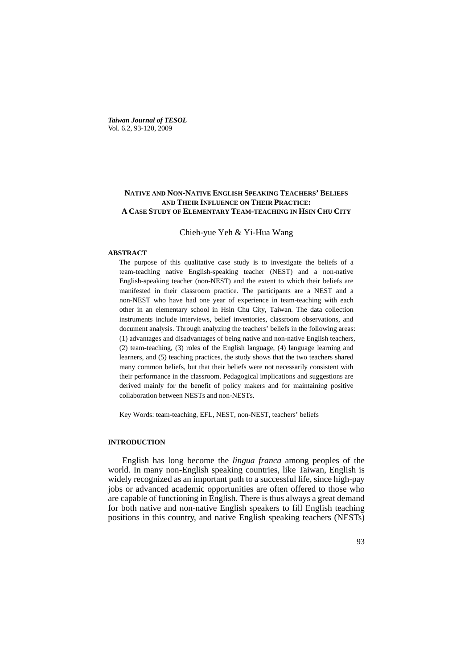*Taiwan Journal of TESOL* Vol. 6.2, 93-120, 2009

## **NATIVE AND NON-NATIVE ENGLISH SPEAKING TEACHERS' BELIEFS AND THEIR INFLUENCE ON THEIR PRACTICE: A CASE STUDY OF ELEMENTARY TEAM-TEACHING IN HSIN CHU CITY**

Chieh-yue Yeh & Yi-Hua Wang

#### **ABSTRACT**

The purpose of this qualitative case study is to investigate the beliefs of a team-teaching native English-speaking teacher (NEST) and a non-native English-speaking teacher (non-NEST) and the extent to which their beliefs are manifested in their classroom practice. The participants are a NEST and a non-NEST who have had one year of experience in team-teaching with each other in an elementary school in Hsin Chu City, Taiwan. The data collection instruments include interviews, belief inventories, classroom observations, and document analysis. Through analyzing the teachers' beliefs in the following areas: (1) advantages and disadvantages of being native and non-native English teachers, (2) team-teaching, (3) roles of the English language, (4) language learning and learners, and (5) teaching practices, the study shows that the two teachers shared many common beliefs, but that their beliefs were not necessarily consistent with their performance in the classroom. Pedagogical implications and suggestions are derived mainly for the benefit of policy makers and for maintaining positive collaboration between NESTs and non-NESTs.

Key Words: team-teaching, EFL, NEST, non-NEST, teachers' beliefs

## **INTRODUCTION**

English has long become the *lingua franca* among peoples of the world. In many non-English speaking countries, like Taiwan, English is widely recognized as an important path to a successful life, since high-pay jobs or advanced academic opportunities are often offered to those who are capable of functioning in English. There is thus always a great demand for both native and non-native English speakers to fill English teaching positions in this country, and native English speaking teachers (NESTs)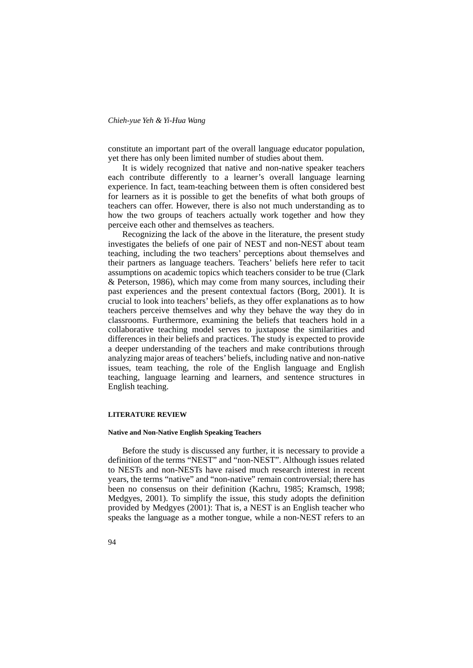constitute an important part of the overall language educator population, yet there has only been limited number of studies about them.

It is widely recognized that native and non-native speaker teachers each contribute differently to a learner's overall language learning experience. In fact, team-teaching between them is often considered best for learners as it is possible to get the benefits of what both groups of teachers can offer. However, there is also not much understanding as to how the two groups of teachers actually work together and how they perceive each other and themselves as teachers.

Recognizing the lack of the above in the literature, the present study investigates the beliefs of one pair of NEST and non-NEST about team teaching, including the two teachers' perceptions about themselves and their partners as language teachers. Teachers' beliefs here refer to tacit assumptions on academic topics which teachers consider to be true (Clark & Peterson, 1986), which may come from many sources, including their past experiences and the present contextual factors (Borg, 2001). It is crucial to look into teachers' beliefs, as they offer explanations as to how teachers perceive themselves and why they behave the way they do in classrooms. Furthermore, examining the beliefs that teachers hold in a collaborative teaching model serves to juxtapose the similarities and differences in their beliefs and practices. The study is expected to provide a deeper understanding of the teachers and make contributions through analyzing major areas of teachers' beliefs, including native and non-native issues, team teaching, the role of the English language and English teaching, language learning and learners, and sentence structures in English teaching.

## **LITERATURE REVIEW**

#### **Native and Non-Native English Speaking Teachers**

Before the study is discussed any further, it is necessary to provide a definition of the terms "NEST" and "non-NEST". Although issues related to NESTs and non-NESTs have raised much research interest in recent years, the terms "native" and "non-native" remain controversial; there has been no consensus on their definition (Kachru, 1985; Kramsch, 1998; Medgyes, 2001). To simplify the issue, this study adopts the definition provided by Medgyes (2001): That is, a NEST is an English teacher who speaks the language as a mother tongue, while a non-NEST refers to an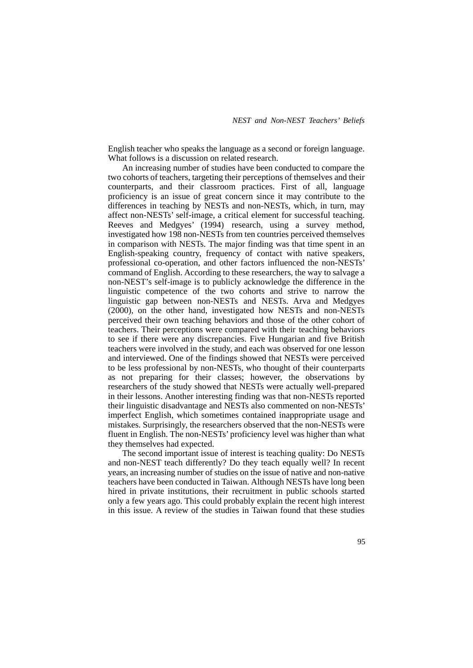English teacher who speaks the language as a second or foreign language. What follows is a discussion on related research.

An increasing number of studies have been conducted to compare the two cohorts of teachers, targeting their perceptions of themselves and their counterparts, and their classroom practices. First of all, language proficiency is an issue of great concern since it may contribute to the differences in teaching by NESTs and non-NESTs, which, in turn, may affect non-NESTs' self-image, a critical element for successful teaching. Reeves and Medgyes' (1994) research, using a survey method, investigated how 198 non-NESTs from ten countries perceived themselves in comparison with NESTs. The major finding was that time spent in an English-speaking country, frequency of contact with native speakers, professional co-operation, and other factors influenced the non-NESTs' command of English. According to these researchers, the way to salvage a non-NEST's self-image is to publicly acknowledge the difference in the linguistic competence of the two cohorts and strive to narrow the linguistic gap between non-NESTs and NESTs. Arva and Medgyes (2000), on the other hand, investigated how NESTs and non-NESTs perceived their own teaching behaviors and those of the other cohort of teachers. Their perceptions were compared with their teaching behaviors to see if there were any discrepancies. Five Hungarian and five British teachers were involved in the study, and each was observed for one lesson and interviewed. One of the findings showed that NESTs were perceived to be less professional by non-NESTs, who thought of their counterparts as not preparing for their classes; however, the observations by researchers of the study showed that NESTs were actually well-prepared in their lessons. Another interesting finding was that non-NESTs reported their linguistic disadvantage and NESTs also commented on non-NESTs' imperfect English, which sometimes contained inappropriate usage and mistakes. Surprisingly, the researchers observed that the non-NESTs were fluent in English. The non-NESTs' proficiency level was higher than what they themselves had expected.

The second important issue of interest is teaching quality: Do NESTs and non-NEST teach differently? Do they teach equally well? In recent years, an increasing number of studies on the issue of native and non-native teachers have been conducted in Taiwan. Although NESTs have long been hired in private institutions, their recruitment in public schools started only a few years ago. This could probably explain the recent high interest in this issue. A review of the studies in Taiwan found that these studies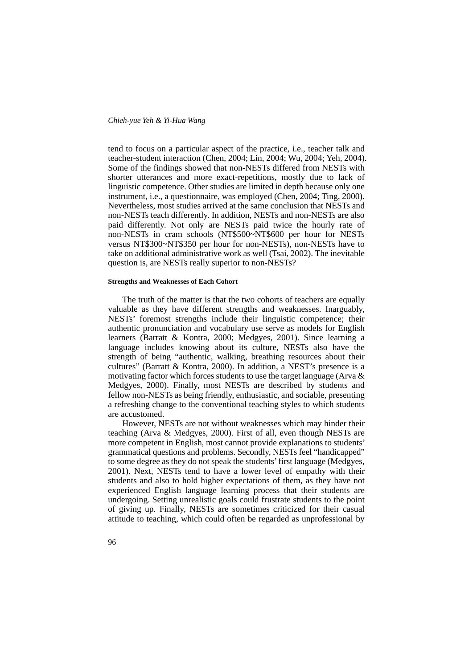tend to focus on a particular aspect of the practice, i.e., teacher talk and teacher-student interaction (Chen, 2004; Lin, 2004; Wu, 2004; Yeh, 2004). Some of the findings showed that non-NESTs differed from NESTs with shorter utterances and more exact-repetitions, mostly due to lack of linguistic competence. Other studies are limited in depth because only one instrument, i.e., a questionnaire, was employed (Chen, 2004; Ting, 2000). Nevertheless, most studies arrived at the same conclusion that NESTs and non-NESTs teach differently. In addition, NESTs and non-NESTs are also paid differently. Not only are NESTs paid twice the hourly rate of non-NESTs in cram schools (NT\$500~NT\$600 per hour for NESTs versus NT\$300~NT\$350 per hour for non-NESTs), non-NESTs have to take on additional administrative work as well (Tsai, 2002). The inevitable question is, are NESTs really superior to non-NESTs?

## **Strengths and Weaknesses of Each Cohort**

The truth of the matter is that the two cohorts of teachers are equally valuable as they have different strengths and weaknesses. Inarguably, NESTs' foremost strengths include their linguistic competence; their authentic pronunciation and vocabulary use serve as models for English learners (Barratt & Kontra, 2000; Medgyes, 2001). Since learning a language includes knowing about its culture, NESTs also have the strength of being "authentic, walking, breathing resources about their cultures" (Barratt & Kontra, 2000). In addition, a NEST's presence is a motivating factor which forces students to use the target language (Arva & Medgyes, 2000). Finally, most NESTs are described by students and fellow non-NESTs as being friendly, enthusiastic, and sociable, presenting a refreshing change to the conventional teaching styles to which students are accustomed.

However, NESTs are not without weaknesses which may hinder their teaching (Arva & Medgyes, 2000). First of all, even though NESTs are more competent in English, most cannot provide explanations to students' grammatical questions and problems. Secondly, NESTs feel "handicapped" to some degree as they do not speak the students' first language (Medgyes, 2001). Next, NESTs tend to have a lower level of empathy with their students and also to hold higher expectations of them, as they have not experienced English language learning process that their students are undergoing. Setting unrealistic goals could frustrate students to the point of giving up. Finally, NESTs are sometimes criticized for their casual attitude to teaching, which could often be regarded as unprofessional by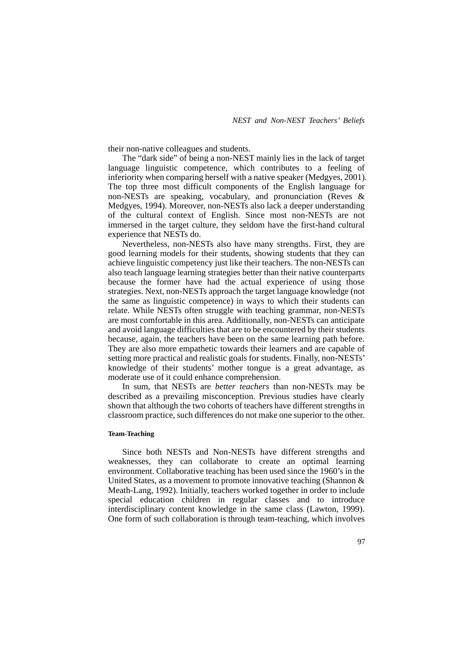their non-native colleagues and students.

The "dark side" of being a non-NEST mainly lies in the lack of target language linguistic competence, which contributes to a feeling of inferiority when comparing herself with a native speaker (Medgyes, 2001). The top three most difficult components of the English language for non-NESTs are speaking, vocabulary, and pronunciation (Reves & Medgyes, 1994). Moreover, non-NESTs also lack a deeper understanding of the cultural context of English. Since most non-NESTs are not immersed in the target culture, they seldom have the first-hand cultural experience that NESTs do.

Nevertheless, non-NESTs also have many strengths. First, they are good learning models for their students, showing students that they can achieve linguistic competency just like their teachers. The non-NESTs can also teach language learning strategies better than their native counterparts because the former have had the actual experience of using those strategies. Next, non-NESTs approach the target language knowledge (not the same as linguistic competence) in ways to which their students can relate. While NESTs often struggle with teaching grammar, non-NESTs are most comfortable in this area. Additionally, non-NESTs can anticipate and avoid language difficulties that are to be encountered by their students because, again, the teachers have been on the same learning path before. They are also more empathetic towards their learners and are capable of setting more practical and realistic goals for students. Finally, non-NESTs' knowledge of their students' mother tongue is a great advantage, as moderate use of it could enhance comprehension.

In sum, that NESTs are *better teachers* than non-NESTs may be described as a prevailing misconception. Previous studies have clearly shown that although the two cohorts of teachers have different strengths in classroom practice, such differences do not make one superior to the other.

#### **Team**-**Teaching**

Since both NESTs and Non-NESTs have different strengths and weaknesses, they can collaborate to create an optimal learning environment. Collaborative teaching has been used since the 1960's in the United States, as a movement to promote innovative teaching (Shannon & Meath-Lang, 1992). Initially, teachers worked together in order to include special education children in regular classes and to introduce interdisciplinary content knowledge in the same class (Lawton, 1999). One form of such collaboration is through team-teaching, which involves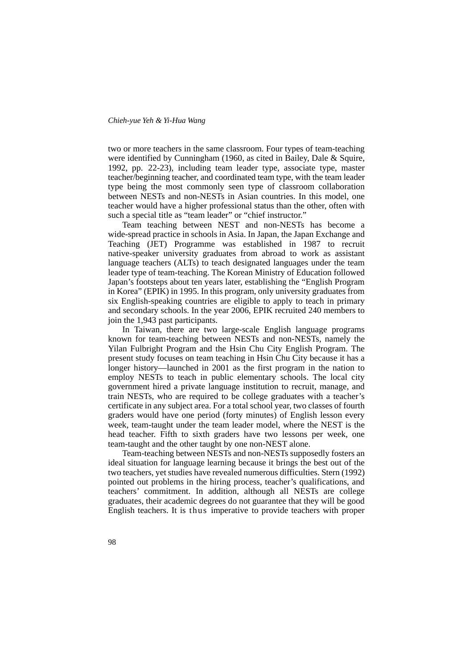two or more teachers in the same classroom. Four types of team-teaching were identified by Cunningham (1960, as cited in Bailey, Dale & Squire, 1992, pp. 22-23), including team leader type, associate type, master teacher/beginning teacher, and coordinated team type, with the team leader type being the most commonly seen type of classroom collaboration between NESTs and non-NESTs in Asian countries. In this model, one teacher would have a higher professional status than the other, often with such a special title as "team leader" or "chief instructor."

Team teaching between NEST and non-NESTs has become a wide-spread practice in schools in Asia. In Japan, the Japan Exchange and Teaching (JET) Programme was established in 1987 to recruit native-speaker university graduates from abroad to work as assistant language teachers (ALTs) to teach designated languages under the team leader type of team-teaching. The Korean Ministry of Education followed Japan's footsteps about ten years later, establishing the "English Program in Korea" (EPIK) in 1995. In this program, only university graduates from six English-speaking countries are eligible to apply to teach in primary and secondary schools. In the year 2006, EPIK recruited 240 members to join the 1,943 past participants.

In Taiwan, there are two large-scale English language programs known for team-teaching between NESTs and non-NESTs, namely the Yilan Fulbright Program and the Hsin Chu City English Program. The present study focuses on team teaching in Hsin Chu City because it has a longer history—launched in 2001 as the first program in the nation to employ NESTs to teach in public elementary schools. The local city government hired a private language institution to recruit, manage, and train NESTs, who are required to be college graduates with a teacher's certificate in any subject area. For a total school year, two classes of fourth graders would have one period (forty minutes) of English lesson every week, team-taught under the team leader model, where the NEST is the head teacher. Fifth to sixth graders have two lessons per week, one team-taught and the other taught by one non-NEST alone.

Team-teaching between NESTs and non-NESTs supposedly fosters an ideal situation for language learning because it brings the best out of the two teachers, yet studies have revealed numerous difficulties. Stern (1992) pointed out problems in the hiring process, teacher's qualifications, and teachers' commitment. In addition, although all NESTs are college graduates, their academic degrees do not guarantee that they will be good English teachers. It is thus imperative to provide teachers with proper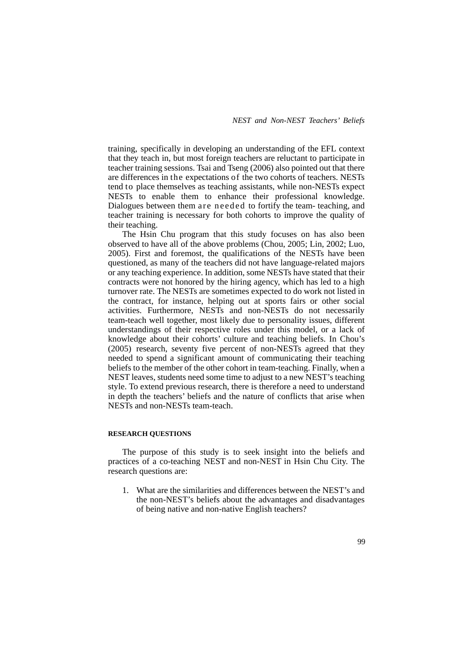training, specifically in developing an understanding of the EFL context that they teach in, but most foreign teachers are reluctant to participate in teacher training sessions. Tsai and Tseng (2006) also pointed out that there are differences in the expectations of the two cohorts of teachers. NESTs tend to place themselves as teaching assistants, while non-NESTs expect NESTs to enable them to enhance their professional knowledge. Dialogues between them are needed to fortify the team- teaching, and teacher training is necessary for both cohorts to improve the quality of their teaching.

The Hsin Chu program that this study focuses on has also been observed to have all of the above problems (Chou, 2005; Lin, 2002; Luo, 2005). First and foremost, the qualifications of the NESTs have been questioned, as many of the teachers did not have language-related majors or any teaching experience. In addition, some NESTs have stated that their contracts were not honored by the hiring agency, which has led to a high turnover rate. The NESTs are sometimes expected to do work not listed in the contract, for instance, helping out at sports fairs or other social activities. Furthermore, NESTs and non-NESTs do not necessarily team-teach well together, most likely due to personality issues, different understandings of their respective roles under this model, or a lack of knowledge about their cohorts' culture and teaching beliefs. In Chou's (2005) research, seventy five percent of non-NESTs agreed that they needed to spend a significant amount of communicating their teaching beliefs to the member of the other cohort in team-teaching. Finally, when a NEST leaves, students need some time to adjust to a new NEST's teaching style. To extend previous research, there is therefore a need to understand in depth the teachers' beliefs and the nature of conflicts that arise when NESTs and non-NESTs team-teach.

#### **RESEARCH QUESTIONS**

The purpose of this study is to seek insight into the beliefs and practices of a co-teaching NEST and non-NEST in Hsin Chu City. The research questions are:

1. What are the similarities and differences between the NEST's and the non-NEST's beliefs about the advantages and disadvantages of being native and non-native English teachers?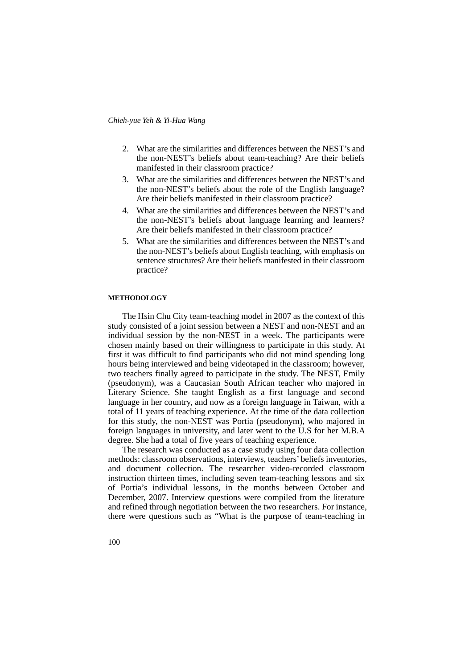- 2. What are the similarities and differences between the NEST's and the non-NEST's beliefs about team-teaching? Are their beliefs manifested in their classroom practice?
- 3. What are the similarities and differences between the NEST's and the non-NEST's beliefs about the role of the English language? Are their beliefs manifested in their classroom practice?
- 4. What are the similarities and differences between the NEST's and the non-NEST's beliefs about language learning and learners? Are their beliefs manifested in their classroom practice?
- 5. What are the similarities and differences between the NEST's and the non-NEST's beliefs about English teaching, with emphasis on sentence structures? Are their beliefs manifested in their classroom practice?

#### **METHODOLOGY**

The Hsin Chu City team-teaching model in 2007 as the context of this study consisted of a joint session between a NEST and non-NEST and an individual session by the non-NEST in a week. The participants were chosen mainly based on their willingness to participate in this study. At first it was difficult to find participants who did not mind spending long hours being interviewed and being videotaped in the classroom; however, two teachers finally agreed to participate in the study. The NEST, Emily (pseudonym), was a Caucasian South African teacher who majored in Literary Science. She taught English as a first language and second language in her country, and now as a foreign language in Taiwan, with a total of 11 years of teaching experience. At the time of the data collection for this study, the non-NEST was Portia (pseudonym), who majored in foreign languages in university, and later went to the U.S for her M.B.A degree. She had a total of five years of teaching experience.

The research was conducted as a case study using four data collection methods: classroom observations, interviews, teachers' beliefs inventories, and document collection. The researcher video-recorded classroom instruction thirteen times, including seven team-teaching lessons and six of Portia's individual lessons, in the months between October and December, 2007. Interview questions were compiled from the literature and refined through negotiation between the two researchers. For instance, there were questions such as "What is the purpose of team-teaching in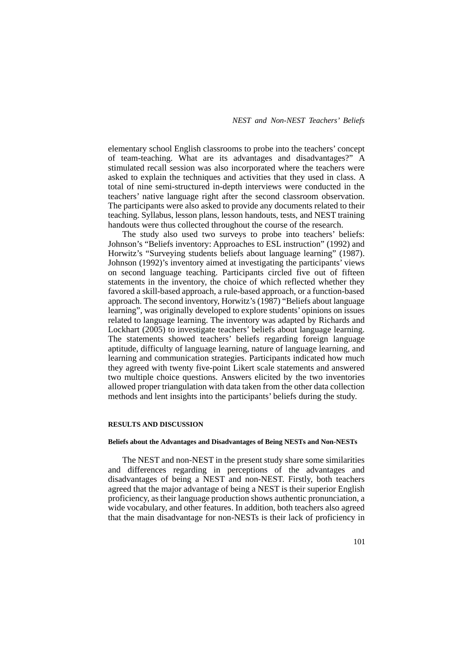elementary school English classrooms to probe into the teachers' concept of team-teaching. What are its advantages and disadvantages?" A stimulated recall session was also incorporated where the teachers were asked to explain the techniques and activities that they used in class. A total of nine semi-structured in-depth interviews were conducted in the teachers' native language right after the second classroom observation. The participants were also asked to provide any documents related to their teaching. Syllabus, lesson plans, lesson handouts, tests, and NEST training handouts were thus collected throughout the course of the research.

The study also used two surveys to probe into teachers' beliefs: Johnson's "Beliefs inventory: Approaches to ESL instruction" (1992) and Horwitz's "Surveying students beliefs about language learning" (1987). Johnson (1992)'s inventory aimed at investigating the participants' views on second language teaching. Participants circled five out of fifteen statements in the inventory, the choice of which reflected whether they favored a skill-based approach, a rule-based approach, or a function-based approach. The second inventory, Horwitz's (1987) "Beliefs about language learning", was originally developed to explore students' opinions on issues related to language learning. The inventory was adapted by Richards and Lockhart (2005) to investigate teachers' beliefs about language learning. The statements showed teachers' beliefs regarding foreign language aptitude, difficulty of language learning, nature of language learning, and learning and communication strategies. Participants indicated how much they agreed with twenty five-point Likert scale statements and answered two multiple choice questions. Answers elicited by the two inventories allowed proper triangulation with data taken from the other data collection methods and lent insights into the participants' beliefs during the study.

## **RESULTS AND DISCUSSION**

#### **Beliefs about the Advantages and Disadvantages of Being NESTs and Non-NESTs**

The NEST and non-NEST in the present study share some similarities and differences regarding in perceptions of the advantages and disadvantages of being a NEST and non-NEST. Firstly, both teachers agreed that the major advantage of being a NEST is their superior English proficiency, as their language production shows authentic pronunciation, a wide vocabulary, and other features. In addition, both teachers also agreed that the main disadvantage for non-NESTs is their lack of proficiency in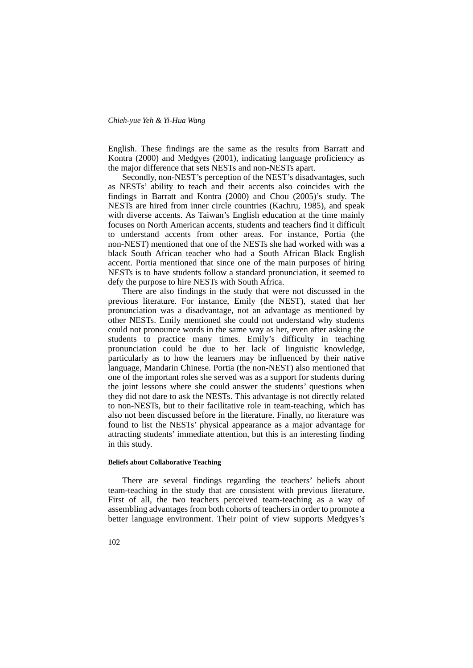English. These findings are the same as the results from Barratt and Kontra (2000) and Medgyes (2001), indicating language proficiency as the major difference that sets NESTs and non-NESTs apart.

Secondly, non-NEST's perception of the NEST's disadvantages, such as NESTs' ability to teach and their accents also coincides with the findings in Barratt and Kontra (2000) and Chou (2005)'s study. The NESTs are hired from inner circle countries (Kachru, 1985), and speak with diverse accents. As Taiwan's English education at the time mainly focuses on North American accents, students and teachers find it difficult to understand accents from other areas. For instance, Portia (the non-NEST) mentioned that one of the NESTs she had worked with was a black South African teacher who had a South African Black English accent. Portia mentioned that since one of the main purposes of hiring NESTs is to have students follow a standard pronunciation, it seemed to defy the purpose to hire NESTs with South Africa.

There are also findings in the study that were not discussed in the previous literature. For instance, Emily (the NEST), stated that her pronunciation was a disadvantage, not an advantage as mentioned by other NESTs. Emily mentioned she could not understand why students could not pronounce words in the same way as her, even after asking the students to practice many times. Emily's difficulty in teaching pronunciation could be due to her lack of linguistic knowledge, particularly as to how the learners may be influenced by their native language, Mandarin Chinese. Portia (the non-NEST) also mentioned that one of the important roles she served was as a support for students during the joint lessons where she could answer the students' questions when they did not dare to ask the NESTs. This advantage is not directly related to non-NESTs, but to their facilitative role in team-teaching, which has also not been discussed before in the literature. Finally, no literature was found to list the NESTs' physical appearance as a major advantage for attracting students' immediate attention, but this is an interesting finding in this study.

#### **Beliefs about Collaborative Teaching**

There are several findings regarding the teachers' beliefs about team-teaching in the study that are consistent with previous literature. First of all, the two teachers perceived team-teaching as a way of assembling advantages from both cohorts of teachers in order to promote a better language environment. Their point of view supports Medgyes's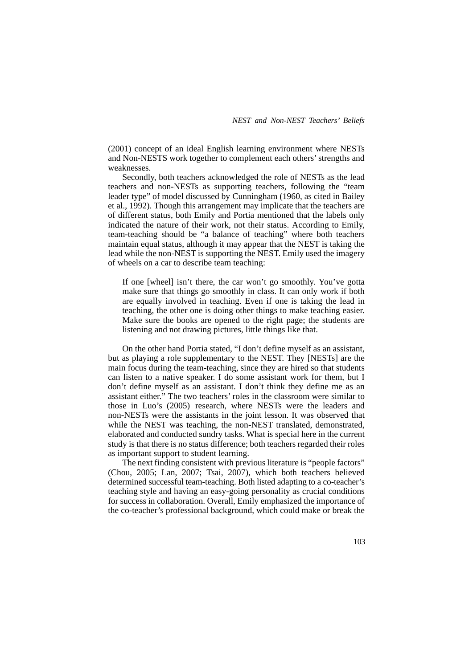(2001) concept of an ideal English learning environment where NESTs and Non-NESTS work together to complement each others' strengths and weaknesses.

Secondly, both teachers acknowledged the role of NESTs as the lead teachers and non-NESTs as supporting teachers, following the "team leader type" of model discussed by Cunningham (1960, as cited in Bailey et al., 1992). Though this arrangement may implicate that the teachers are of different status, both Emily and Portia mentioned that the labels only indicated the nature of their work, not their status. According to Emily, team-teaching should be "a balance of teaching" where both teachers maintain equal status, although it may appear that the NEST is taking the lead while the non-NEST is supporting the NEST. Emily used the imagery of wheels on a car to describe team teaching:

If one [wheel] isn't there, the car won't go smoothly. You've gotta make sure that things go smoothly in class. It can only work if both are equally involved in teaching. Even if one is taking the lead in teaching, the other one is doing other things to make teaching easier. Make sure the books are opened to the right page; the students are listening and not drawing pictures, little things like that.

On the other hand Portia stated, "I don't define myself as an assistant, but as playing a role supplementary to the NEST. They [NESTs] are the main focus during the team-teaching, since they are hired so that students can listen to a native speaker. I do some assistant work for them, but I don't define myself as an assistant. I don't think they define me as an assistant either." The two teachers' roles in the classroom were similar to those in Luo's (2005) research, where NESTs were the leaders and non-NESTs were the assistants in the joint lesson. It was observed that while the NEST was teaching, the non-NEST translated, demonstrated, elaborated and conducted sundry tasks. What is special here in the current study is that there is no status difference; both teachers regarded their roles as important support to student learning.

The next finding consistent with previous literature is "people factors" (Chou, 2005; Lan, 2007; Tsai, 2007), which both teachers believed determined successful team-teaching. Both listed adapting to a co-teacher's teaching style and having an easy-going personality as crucial conditions for success in collaboration. Overall, Emily emphasized the importance of the co-teacher's professional background, which could make or break the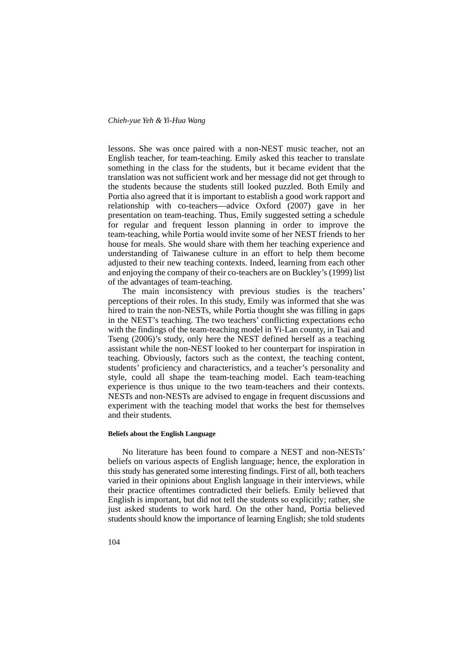lessons. She was once paired with a non-NEST music teacher, not an English teacher, for team-teaching. Emily asked this teacher to translate something in the class for the students, but it became evident that the translation was not sufficient work and her message did not get through to the students because the students still looked puzzled. Both Emily and Portia also agreed that it is important to establish a good work rapport and relationship with co-teachers—advice Oxford (2007) gave in her presentation on team-teaching. Thus, Emily suggested setting a schedule for regular and frequent lesson planning in order to improve the team-teaching, while Portia would invite some of her NEST friends to her house for meals. She would share with them her teaching experience and understanding of Taiwanese culture in an effort to help them become adjusted to their new teaching contexts. Indeed, learning from each other and enjoying the company of their co-teachers are on Buckley's (1999) list of the advantages of team-teaching.

The main inconsistency with previous studies is the teachers' perceptions of their roles. In this study, Emily was informed that she was hired to train the non-NESTs, while Portia thought she was filling in gaps in the NEST's teaching. The two teachers' conflicting expectations echo with the findings of the team-teaching model in Yi-Lan county, in Tsai and Tseng (2006)'s study, only here the NEST defined herself as a teaching assistant while the non-NEST looked to her counterpart for inspiration in teaching. Obviously, factors such as the context, the teaching content, students' proficiency and characteristics, and a teacher's personality and style, could all shape the team-teaching model. Each team-teaching experience is thus unique to the two team-teachers and their contexts. NESTs and non-NESTs are advised to engage in frequent discussions and experiment with the teaching model that works the best for themselves and their students.

#### **Beliefs about the English Language**

No literature has been found to compare a NEST and non-NESTs' beliefs on various aspects of English language; hence, the exploration in this study has generated some interesting findings. First of all, both teachers varied in their opinions about English language in their interviews, while their practice oftentimes contradicted their beliefs. Emily believed that English is important, but did not tell the students so explicitly; rather, she just asked students to work hard. On the other hand, Portia believed students should know the importance of learning English; she told students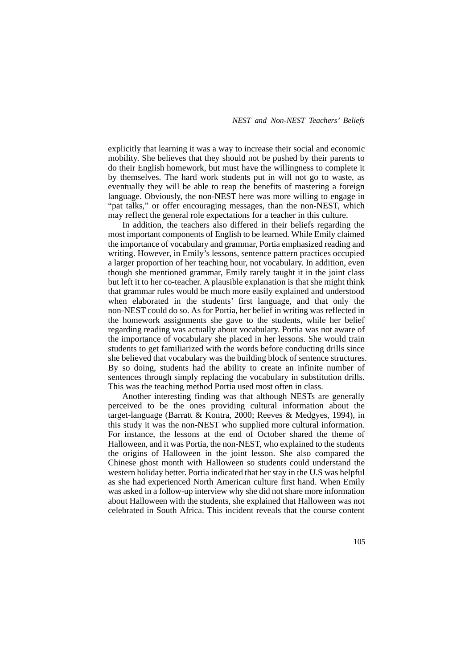explicitly that learning it was a way to increase their social and economic mobility. She believes that they should not be pushed by their parents to do their English homework, but must have the willingness to complete it by themselves. The hard work students put in will not go to waste, as eventually they will be able to reap the benefits of mastering a foreign language. Obviously, the non-NEST here was more willing to engage in "pat talks," or offer encouraging messages, than the non-NEST, which may reflect the general role expectations for a teacher in this culture.

In addition, the teachers also differed in their beliefs regarding the most important components of English to be learned. While Emily claimed the importance of vocabulary and grammar, Portia emphasized reading and writing. However, in Emily's lessons, sentence pattern practices occupied a larger proportion of her teaching hour, not vocabulary. In addition, even though she mentioned grammar, Emily rarely taught it in the joint class but left it to her co-teacher. A plausible explanation is that she might think that grammar rules would be much more easily explained and understood when elaborated in the students' first language, and that only the non-NEST could do so. As for Portia, her belief in writing was reflected in the homework assignments she gave to the students, while her belief regarding reading was actually about vocabulary. Portia was not aware of the importance of vocabulary she placed in her lessons. She would train students to get familiarized with the words before conducting drills since she believed that vocabulary was the building block of sentence structures. By so doing, students had the ability to create an infinite number of sentences through simply replacing the vocabulary in substitution drills. This was the teaching method Portia used most often in class.

Another interesting finding was that although NESTs are generally perceived to be the ones providing cultural information about the target-language (Barratt & Kontra, 2000; Reeves & Medgyes, 1994), in this study it was the non-NEST who supplied more cultural information. For instance, the lessons at the end of October shared the theme of Halloween, and it was Portia, the non-NEST, who explained to the students the origins of Halloween in the joint lesson. She also compared the Chinese ghost month with Halloween so students could understand the western holiday better. Portia indicated that her stay in the U.S was helpful as she had experienced North American culture first hand. When Emily was asked in a follow-up interview why she did not share more information about Halloween with the students, she explained that Halloween was not celebrated in South Africa. This incident reveals that the course content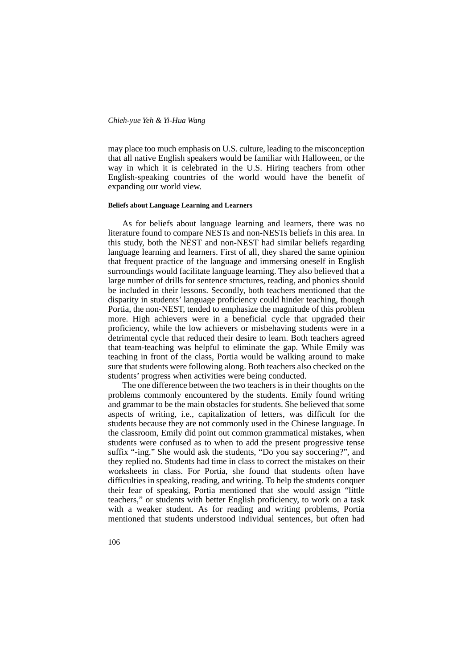may place too much emphasis on U.S. culture, leading to the misconception that all native English speakers would be familiar with Halloween, or the way in which it is celebrated in the U.S. Hiring teachers from other English-speaking countries of the world would have the benefit of expanding our world view.

#### **Beliefs about Language Learning and Learners**

As for beliefs about language learning and learners, there was no literature found to compare NESTs and non-NESTs beliefs in this area. In this study, both the NEST and non-NEST had similar beliefs regarding language learning and learners. First of all, they shared the same opinion that frequent practice of the language and immersing oneself in English surroundings would facilitate language learning. They also believed that a large number of drills for sentence structures, reading, and phonics should be included in their lessons. Secondly, both teachers mentioned that the disparity in students' language proficiency could hinder teaching, though Portia, the non-NEST, tended to emphasize the magnitude of this problem more. High achievers were in a beneficial cycle that upgraded their proficiency, while the low achievers or misbehaving students were in a detrimental cycle that reduced their desire to learn. Both teachers agreed that team-teaching was helpful to eliminate the gap. While Emily was teaching in front of the class, Portia would be walking around to make sure that students were following along. Both teachers also checked on the students' progress when activities were being conducted.

The one difference between the two teachers is in their thoughts on the problems commonly encountered by the students. Emily found writing and grammar to be the main obstacles for students. She believed that some aspects of writing, i.e., capitalization of letters, was difficult for the students because they are not commonly used in the Chinese language. In the classroom, Emily did point out common grammatical mistakes, when students were confused as to when to add the present progressive tense suffix "-ing." She would ask the students, "Do you say soccering?", and they replied no. Students had time in class to correct the mistakes on their worksheets in class. For Portia, she found that students often have difficulties in speaking, reading, and writing. To help the students conquer their fear of speaking, Portia mentioned that she would assign "little teachers," or students with better English proficiency, to work on a task with a weaker student. As for reading and writing problems, Portia mentioned that students understood individual sentences, but often had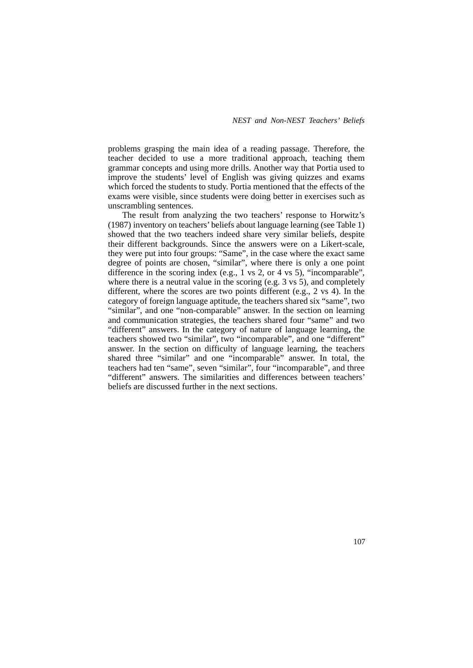problems grasping the main idea of a reading passage. Therefore, the teacher decided to use a more traditional approach, teaching them grammar concepts and using more drills. Another way that Portia used to improve the students' level of English was giving quizzes and exams which forced the students to study. Portia mentioned that the effects of the exams were visible, since students were doing better in exercises such as unscrambling sentences.

The result from analyzing the two teachers' response to Horwitz's (1987) inventory on teachers' beliefs about language learning (see Table 1) showed that the two teachers indeed share very similar beliefs, despite their different backgrounds. Since the answers were on a Likert-scale, they were put into four groups: "Same", in the case where the exact same degree of points are chosen, "similar", where there is only a one point difference in the scoring index (e.g., 1 vs 2, or 4 vs 5), "incomparable", where there is a neutral value in the scoring (e.g. 3 vs 5), and completely different, where the scores are two points different (e.g., 2 vs 4). In the category of foreign language aptitude, the teachers shared six "same", two "similar", and one "non-comparable" answer. In the section on learning and communication strategies, the teachers shared four "same" and two "different" answers. In the category of nature of language learning**,** the teachers showed two "similar", two "incomparable", and one "different" answer. In the section on difficulty of language learning, the teachers shared three "similar" and one "incomparable" answer. In total, the teachers had ten "same", seven "similar", four "incomparable", and three "different" answers. The similarities and differences between teachers' beliefs are discussed further in the next sections.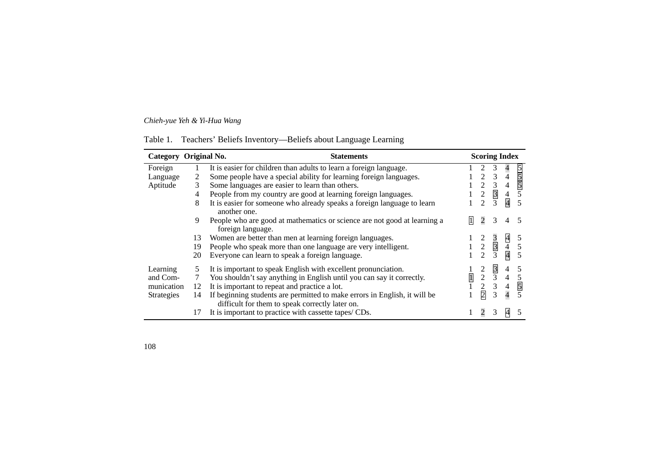| Table 1. | Teachers' Beliefs Inventory—Beliefs about Language Learning |  |  |  |
|----------|-------------------------------------------------------------|--|--|--|
|          |                                                             |  |  |  |
|          |                                                             |  |  |  |
|          |                                                             |  |  |  |

| Category Original No. |    | <b>Statements</b>                                                                                                            |                |                  | <b>Scoring Index</b> |                          |               |
|-----------------------|----|------------------------------------------------------------------------------------------------------------------------------|----------------|------------------|----------------------|--------------------------|---------------|
| Foreign               |    | It is easier for children than adults to learn a foreign language.                                                           |                |                  |                      | 4                        |               |
| Language              | 2  | Some people have a special ability for learning foreign languages.                                                           |                | $\mathfrak{D}$   | 3                    | 4                        | $\frac{5}{5}$ |
| Aptitude              | 3  | Some languages are easier to learn than others.                                                                              |                | 2                | 3                    | 4                        |               |
|                       | 4  | People from my country are good at learning foreign languages.                                                               |                | $\mathfrak{2}$   | $\overline{3}$       | $\overline{\mathcal{L}}$ | 5             |
|                       | 8  | It is easier for someone who already speaks a foreign language to learn<br>another one.                                      |                | $\mathfrak{D}$   | 3                    | $\overline{\mathcal{A}}$ | 5             |
|                       | 9  | People who are good at mathematics or science are not good at learning a<br>foreign language.                                | 1              | $\overline{c}$   | 3                    | 4                        |               |
|                       | 13 | Women are better than men at learning foreign languages.                                                                     |                | 2                |                      |                          | 5             |
|                       | 19 | People who speak more than one language are very intelligent.                                                                |                | $\overline{2}$   | $rac{3}{3}$          | $\frac{4}{4}$            | 5             |
|                       | 20 | Everyone can learn to speak a foreign language.                                                                              |                | $\overline{2}$   | 3                    |                          | 5             |
| Learning              | 5  | It is important to speak English with excellent pronunciation.                                                               |                | 2                | 3                    | 4                        | 5             |
| and Com-              |    | You shouldn't say anything in English until you can say it correctly.                                                        | $\overline{1}$ | $\boldsymbol{2}$ | 3                    | 4                        | 5             |
| munication            | 12 | It is important to repeat and practice a lot.                                                                                |                | $\overline{2}$   | 3                    | $\frac{4}{4}$            | 5             |
| <b>Strategies</b>     | 14 | If beginning students are permitted to make errors in English, it will be<br>difficult for them to speak correctly later on. |                | $\overline{2}$   | 3                    |                          |               |
|                       | 17 | It is important to practice with cassette tapes/ CDs.                                                                        |                | 2                | 3                    | $\overline{A}$           |               |

108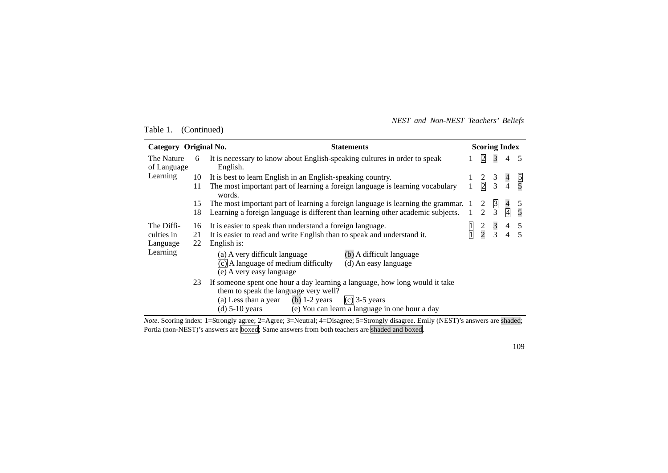*NEST and Non-NEST Teachers' Beliefs* 

Table 1. (Continued)

| Category Original No.     |    | <b>Statements</b>                                                                                                                                                                                                                                | <b>Scoring Index</b> |                                                                                         |               |               |     |
|---------------------------|----|--------------------------------------------------------------------------------------------------------------------------------------------------------------------------------------------------------------------------------------------------|----------------------|-----------------------------------------------------------------------------------------|---------------|---------------|-----|
| The Nature<br>of Language | 6  | It is necessary to know about English-speaking cultures in order to speak<br>English.                                                                                                                                                            |                      | $\overline{2}$                                                                          | 3             |               | 4 5 |
| Learning                  | 10 | It is best to learn English in an English-speaking country.                                                                                                                                                                                      |                      | $\begin{array}{ccc} 2 & 3 & 4 \\ \hline 2 & 3 & 4 \end{array}$                          |               |               |     |
|                           | 11 | The most important part of learning a foreign language is learning vocabulary<br>words.                                                                                                                                                          | $\mathbf{1}$         |                                                                                         |               |               |     |
|                           | 15 | The most important part of learning a foreign language is learning the grammar.                                                                                                                                                                  |                      |                                                                                         | $\frac{3}{3}$ |               |     |
|                           | 18 | Learning a foreign language is different than learning other academic subjects.                                                                                                                                                                  |                      | $\frac{2}{2}$                                                                           |               | $\frac{4}{4}$ |     |
| The Diffi-                | 16 | It is easier to speak than understand a foreign language.                                                                                                                                                                                        |                      | $\begin{array}{ccccccccc}\n1 & 2 & 3 & 4 & 5 \\ \hline\n1 & 2 & 3 & 4 & 5\n\end{array}$ |               |               |     |
| culties in                | 21 | It is easier to read and write English than to speak and understand it.                                                                                                                                                                          |                      |                                                                                         |               |               |     |
| Language                  | 22 | English is:                                                                                                                                                                                                                                      |                      |                                                                                         |               |               |     |
| Learning                  |    | (b) A difficult language<br>(a) A very difficult language<br>$(c)$ A language of medium difficulty<br>(d) An easy language<br>(e) A very easy language                                                                                           |                      |                                                                                         |               |               |     |
|                           | 23 | If someone spent one hour a day learning a language, how long would it take<br>them to speak the language very well?<br>$(c)$ 3-5 years<br>(a) Less than a year (b) $1-2$ years<br>(d) 5-10 years (e) You can learn a language in one hour a day |                      |                                                                                         |               |               |     |

*Note*. Scoring index: 1=Strongly agree; 2=Agree; 3=Neutral; 4=Disagree; 5=Strongly disagree. Emily (NEST)'s answers are shaded; Portia (non-NEST)'s answers are boxed; Same answers from both teachers are shaded and boxed.

109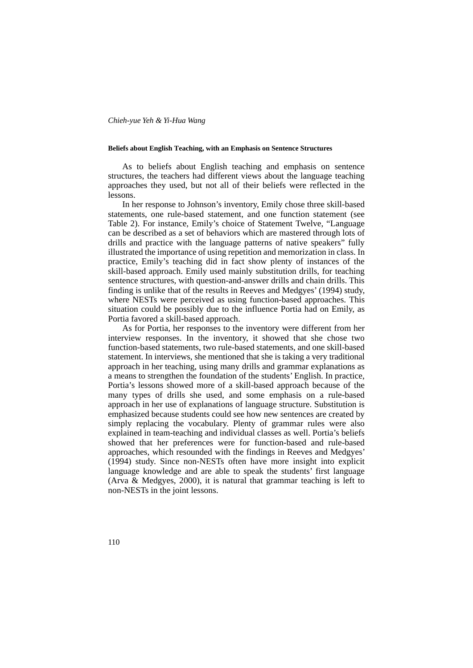#### **Beliefs about English Teaching, with an Emphasis on Sentence Structures**

As to beliefs about English teaching and emphasis on sentence structures, the teachers had different views about the language teaching approaches they used, but not all of their beliefs were reflected in the lessons.

In her response to Johnson's inventory, Emily chose three skill-based statements, one rule-based statement, and one function statement (see Table 2). For instance, Emily's choice of Statement Twelve, "Language can be described as a set of behaviors which are mastered through lots of drills and practice with the language patterns of native speakers" fully illustrated the importance of using repetition and memorization in class. In practice, Emily's teaching did in fact show plenty of instances of the skill-based approach. Emily used mainly substitution drills, for teaching sentence structures, with question-and-answer drills and chain drills. This finding is unlike that of the results in Reeves and Medgyes' (1994) study, where NESTs were perceived as using function-based approaches. This situation could be possibly due to the influence Portia had on Emily, as Portia favored a skill-based approach.

As for Portia, her responses to the inventory were different from her interview responses. In the inventory, it showed that she chose two function-based statements, two rule-based statements, and one skill-based statement. In interviews, she mentioned that she is taking a very traditional approach in her teaching, using many drills and grammar explanations as a means to strengthen the foundation of the students' English. In practice, Portia's lessons showed more of a skill-based approach because of the many types of drills she used, and some emphasis on a rule-based approach in her use of explanations of language structure. Substitution is emphasized because students could see how new sentences are created by simply replacing the vocabulary. Plenty of grammar rules were also explained in team-teaching and individual classes as well. Portia's beliefs showed that her preferences were for function-based and rule-based approaches, which resounded with the findings in Reeves and Medgyes' (1994) study. Since non-NESTs often have more insight into explicit language knowledge and are able to speak the students' first language (Arva & Medgyes, 2000), it is natural that grammar teaching is left to non-NESTs in the joint lessons.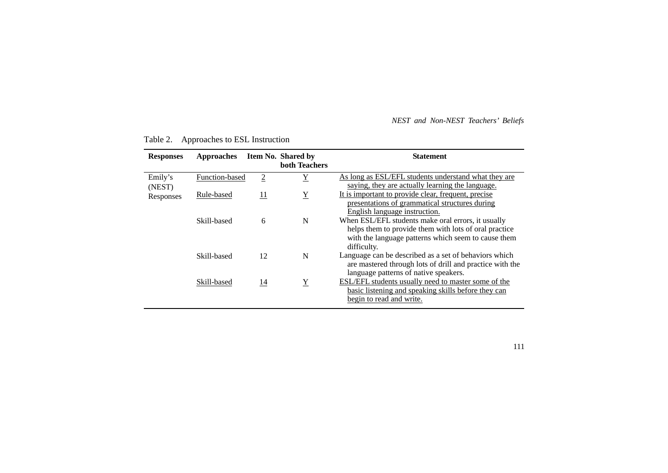## *NEST and Non-NEST Teachers' Beliefs*

| <b>Responses</b> | <b>Approaches</b> |                | <b>Item No. Shared by</b><br><b>both Teachers</b> | <b>Statement</b>                                                                                                                                                                  |
|------------------|-------------------|----------------|---------------------------------------------------|-----------------------------------------------------------------------------------------------------------------------------------------------------------------------------------|
| Emily's          | Function-based    | $\overline{2}$ | $\overline{Y}$                                    | As long as ESL/EFL students understand what they are                                                                                                                              |
| (NEST)           |                   |                |                                                   | saying, they are actually learning the language.                                                                                                                                  |
| Responses        | Rule-based        | <u>11</u>      | $\underline{Y}$                                   | It is important to provide clear, frequent, precise                                                                                                                               |
|                  |                   |                |                                                   | presentations of grammatical structures during                                                                                                                                    |
|                  |                   |                |                                                   | English language instruction.                                                                                                                                                     |
|                  | Skill-based       | 6              | N                                                 | When ESL/EFL students make oral errors, it usually<br>helps them to provide them with lots of oral practice<br>with the language patterns which seem to cause them<br>difficulty. |
|                  | Skill-based       | 12             | N                                                 | Language can be described as a set of behaviors which<br>are mastered through lots of drill and practice with the<br>language patterns of native speakers.                        |
|                  | Skill-based       | 14             | $\mathbf Y$                                       | ESL/EFL students usually need to master some of the<br>basic listening and speaking skills before they can<br>begin to read and write.                                            |

# Table 2. Approaches to ESL Instruction

111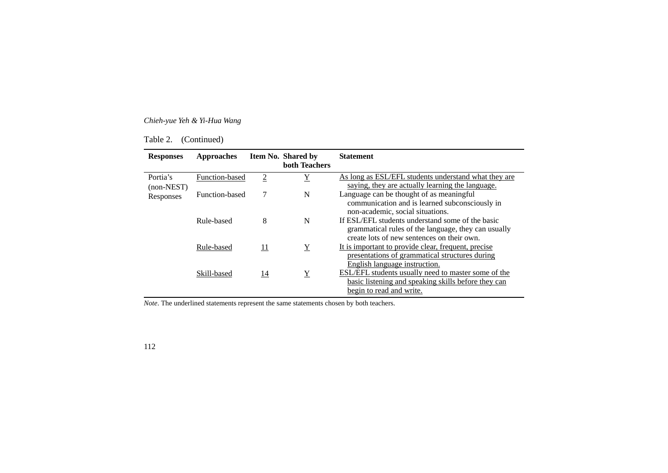Table 2. (Continued)

| <b>Responses</b>         | <b>Approaches</b> |                | Item No. Shared by<br><b>both Teachers</b> | <b>Statement</b>                                                                                                                                      |
|--------------------------|-------------------|----------------|--------------------------------------------|-------------------------------------------------------------------------------------------------------------------------------------------------------|
| Portia's<br>$non-NEST$ ) | Function-based    | $\overline{2}$ | $\overline{\text{Y}}$                      | As long as ESL/EFL students understand what they are<br>saying, they are actually learning the language.                                              |
| Responses                | Function-based    |                | N                                          | Language can be thought of as meaningful<br>communication and is learned subconsciously in<br>non-academic, social situations.                        |
|                          | Rule-based        | 8              | N                                          | If ESL/EFL students understand some of the basic<br>grammatical rules of the language, they can usually<br>create lots of new sentences on their own. |
|                          | Rule-based        | 11             | $\underline{Y}$                            | It is important to provide clear, frequent, precise<br>presentations of grammatical structures during<br>English language instruction.                |
|                          | Skill-based       | 14             | $\underline{Y}$                            | ESL/EFL students usually need to master some of the<br>basic listening and speaking skills before they can<br>begin to read and write.                |

*Note*. The underlined statements represent the same statements chosen by both teachers.

112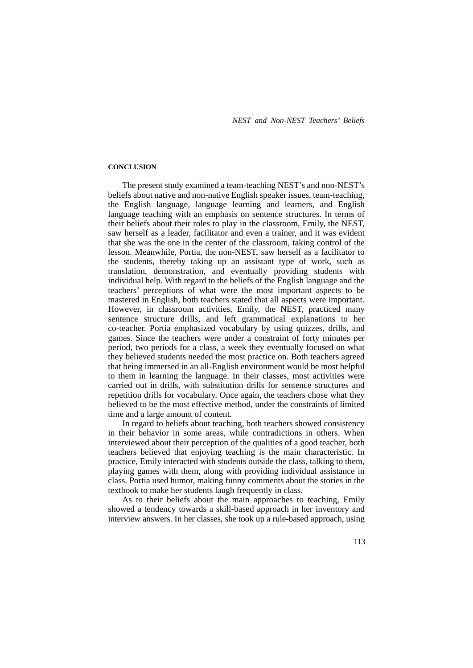#### **CONCLUSION**

The present study examined a team-teaching NEST's and non-NEST's beliefs about native and non-native English speaker issues, team-teaching, the English language, language learning and learners, and English language teaching with an emphasis on sentence structures. In terms of their beliefs about their roles to play in the classroom, Emily, the NEST, saw herself as a leader, facilitator and even a trainer, and it was evident that she was the one in the center of the classroom, taking control of the lesson. Meanwhile, Portia, the non-NEST, saw herself as a facilitator to the students, thereby taking up an assistant type of work, such as translation, demonstration, and eventually providing students with individual help. With regard to the beliefs of the English language and the teachers' perceptions of what were the most important aspects to be mastered in English, both teachers stated that all aspects were important. However, in classroom activities, Emily, the NEST, practiced many sentence structure drills, and left grammatical explanations to her co-teacher. Portia emphasized vocabulary by using quizzes, drills, and games. Since the teachers were under a constraint of forty minutes per period, two periods for a class, a week they eventually focused on what they believed students needed the most practice on. Both teachers agreed that being immersed in an all-English environment would be most helpful to them in learning the language. In their classes, most activities were carried out in drills, with substitution drills for sentence structures and repetition drills for vocabulary. Once again, the teachers chose what they believed to be the most effective method, under the constraints of limited time and a large amount of content.

In regard to beliefs about teaching, both teachers showed consistency in their behavior in some areas, while contradictions in others. When interviewed about their perception of the qualities of a good teacher, both teachers believed that enjoying teaching is the main characteristic. In practice, Emily interacted with students outside the class, talking to them, playing games with them, along with providing individual assistance in class. Portia used humor, making funny comments about the stories in the textbook to make her students laugh frequently in class.

As to their beliefs about the main approaches to teaching, Emily showed a tendency towards a skill-based approach in her inventory and interview answers. In her classes, she took up a rule-based approach, using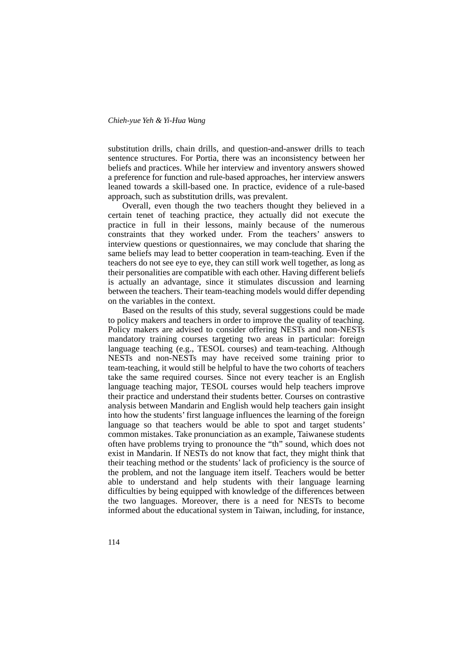substitution drills, chain drills, and question-and-answer drills to teach sentence structures. For Portia, there was an inconsistency between her beliefs and practices. While her interview and inventory answers showed a preference for function and rule-based approaches, her interview answers leaned towards a skill-based one. In practice, evidence of a rule-based approach, such as substitution drills, was prevalent.

Overall, even though the two teachers thought they believed in a certain tenet of teaching practice, they actually did not execute the practice in full in their lessons, mainly because of the numerous constraints that they worked under. From the teachers' answers to interview questions or questionnaires, we may conclude that sharing the same beliefs may lead to better cooperation in team-teaching. Even if the teachers do not see eye to eye, they can still work well together, as long as their personalities are compatible with each other. Having different beliefs is actually an advantage, since it stimulates discussion and learning between the teachers. Their team-teaching models would differ depending on the variables in the context.

Based on the results of this study, several suggestions could be made to policy makers and teachers in order to improve the quality of teaching. Policy makers are advised to consider offering NESTs and non-NESTs mandatory training courses targeting two areas in particular: foreign language teaching (e.g., TESOL courses) and team-teaching. Although NESTs and non-NESTs may have received some training prior to team-teaching, it would still be helpful to have the two cohorts of teachers take the same required courses. Since not every teacher is an English language teaching major, TESOL courses would help teachers improve their practice and understand their students better. Courses on contrastive analysis between Mandarin and English would help teachers gain insight into how the students' first language influences the learning of the foreign language so that teachers would be able to spot and target students' common mistakes. Take pronunciation as an example, Taiwanese students often have problems trying to pronounce the "th" sound, which does not exist in Mandarin. If NESTs do not know that fact, they might think that their teaching method or the students' lack of proficiency is the source of the problem, and not the language item itself. Teachers would be better able to understand and help students with their language learning difficulties by being equipped with knowledge of the differences between the two languages. Moreover, there is a need for NESTs to become informed about the educational system in Taiwan, including, for instance,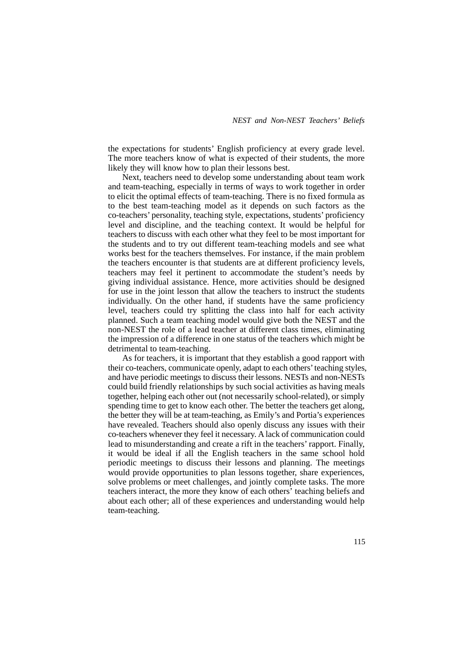the expectations for students' English proficiency at every grade level. The more teachers know of what is expected of their students, the more likely they will know how to plan their lessons best.

Next, teachers need to develop some understanding about team work and team-teaching, especially in terms of ways to work together in order to elicit the optimal effects of team-teaching. There is no fixed formula as to the best team-teaching model as it depends on such factors as the co-teachers' personality, teaching style, expectations, students' proficiency level and discipline, and the teaching context. It would be helpful for teachers to discuss with each other what they feel to be most important for the students and to try out different team-teaching models and see what works best for the teachers themselves. For instance, if the main problem the teachers encounter is that students are at different proficiency levels, teachers may feel it pertinent to accommodate the student's needs by giving individual assistance. Hence, more activities should be designed for use in the joint lesson that allow the teachers to instruct the students individually. On the other hand, if students have the same proficiency level, teachers could try splitting the class into half for each activity planned. Such a team teaching model would give both the NEST and the non-NEST the role of a lead teacher at different class times, eliminating the impression of a difference in one status of the teachers which might be detrimental to team-teaching.

As for teachers, it is important that they establish a good rapport with their co-teachers, communicate openly, adapt to each others' teaching styles, and have periodic meetings to discuss their lessons. NESTs and non-NESTs could build friendly relationships by such social activities as having meals together, helping each other out (not necessarily school-related), or simply spending time to get to know each other. The better the teachers get along, the better they will be at team-teaching, as Emily's and Portia's experiences have revealed. Teachers should also openly discuss any issues with their co-teachers whenever they feel it necessary. A lack of communication could lead to misunderstanding and create a rift in the teachers' rapport. Finally, it would be ideal if all the English teachers in the same school hold periodic meetings to discuss their lessons and planning. The meetings would provide opportunities to plan lessons together, share experiences, solve problems or meet challenges, and jointly complete tasks. The more teachers interact, the more they know of each others' teaching beliefs and about each other; all of these experiences and understanding would help team-teaching.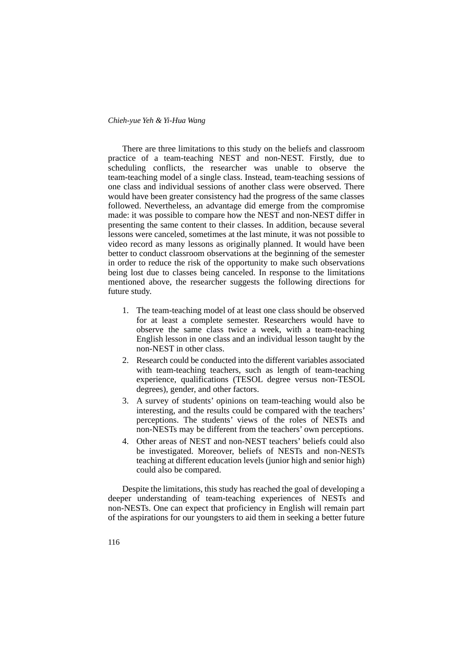There are three limitations to this study on the beliefs and classroom practice of a team-teaching NEST and non-NEST. Firstly, due to scheduling conflicts, the researcher was unable to observe the team-teaching model of a single class. Instead, team-teaching sessions of one class and individual sessions of another class were observed. There would have been greater consistency had the progress of the same classes followed. Nevertheless, an advantage did emerge from the compromise made: it was possible to compare how the NEST and non-NEST differ in presenting the same content to their classes. In addition, because several lessons were canceled, sometimes at the last minute, it was not possible to video record as many lessons as originally planned. It would have been better to conduct classroom observations at the beginning of the semester in order to reduce the risk of the opportunity to make such observations being lost due to classes being canceled. In response to the limitations mentioned above, the researcher suggests the following directions for future study.

- 1. The team-teaching model of at least one class should be observed for at least a complete semester. Researchers would have to observe the same class twice a week, with a team-teaching English lesson in one class and an individual lesson taught by the non-NEST in other class.
- 2. Research could be conducted into the different variables associated with team-teaching teachers, such as length of team-teaching experience, qualifications (TESOL degree versus non-TESOL degrees), gender, and other factors.
- 3. A survey of students' opinions on team-teaching would also be interesting, and the results could be compared with the teachers' perceptions. The students' views of the roles of NESTs and non-NESTs may be different from the teachers' own perceptions.
- 4. Other areas of NEST and non-NEST teachers' beliefs could also be investigated. Moreover, beliefs of NESTs and non-NESTs teaching at different education levels (junior high and senior high) could also be compared.

Despite the limitations, this study has reached the goal of developing a deeper understanding of team-teaching experiences of NESTs and non-NESTs. One can expect that proficiency in English will remain part of the aspirations for our youngsters to aid them in seeking a better future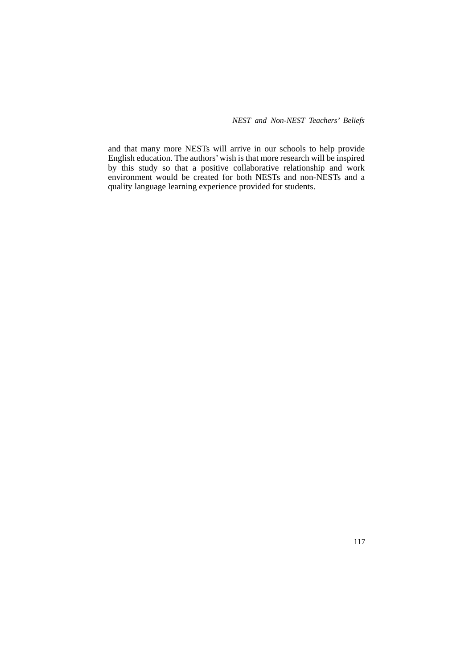*NEST and Non-NEST Teachers' Beliefs* 

and that many more NESTs will arrive in our schools to help provide English education. The authors' wish is that more research will be inspired by this study so that a positive collaborative relationship and work environment would be created for both NESTs and non-NESTs and a quality language learning experience provided for students.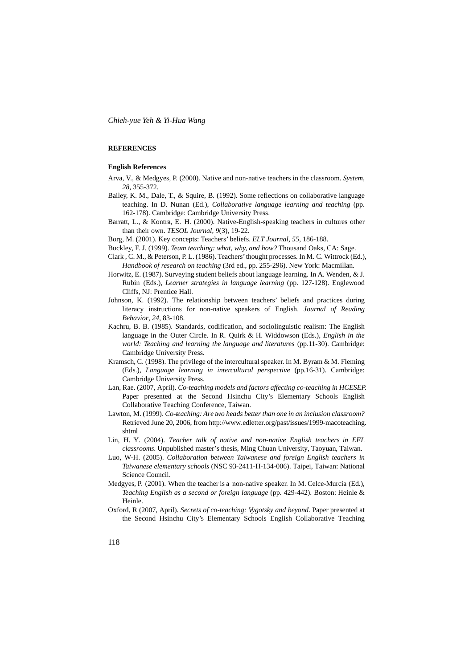#### **REFERENCES**

#### **English References**

- Arva, V., & Medgyes, P. (2000). Native and non-native teachers in the classroom. *System*, *28*, 355-372.
- Bailey, K. M., Dale, T., & Squire, B. (1992). Some reflections on collaborative language teaching. In D. Nunan (Ed.), *Collaborative language learning and teaching* (pp. 162-178). Cambridge: Cambridge University Press.
- Barratt, L., & Kontra, E. H. (2000). Native-English-speaking teachers in cultures other than their own. *TESOL Journal*, *9*(3), 19-22.

Borg, M. (2001). Key concepts: Teachers' beliefs. *ELT Journal*, *55*, 186-188.

Buckley, F. J. (1999). *Team teaching: what, why, and how?* Thousand Oaks, CA: Sage.

- Clark , C. M., & Peterson, P. L. (1986). Teachers' thought processes. In M. C. Wittrock (Ed.), *Handbook of research on teaching* (3rd ed., pp. 255-296). New York: Macmillan.
- Horwitz, E. (1987). Surveying student beliefs about language learning. In A. Wenden, & J. Rubin (Eds.), *Learner strategies in language learning* (pp. 127-128). Englewood Cliffs, NJ: Prentice Hall.
- Johnson, K. (1992). The relationship between teachers' beliefs and practices during literacy instructions for non-native speakers of English. *Journal of Reading Behavior*, *24*, 83-108.
- Kachru, B. B. (1985). Standards, codification, and sociolinguistic realism: The English language in the Outer Circle. In R. Quirk & H. Widdowson (Eds.), *English in the world: Teaching and learning the language and literatures* (pp.11-30). Cambridge: Cambridge University Press.
- Kramsch, C. (1998). The privilege of the intercultural speaker. In M. Byram & M. Fleming (Eds.), *Language learning in intercultural perspective* (pp.16-31). Cambridge: Cambridge University Press.
- Lan, Rae. (2007, April). *Co-teaching models and factors affecting co-teaching in HCESEP*. Paper presented at the Second Hsinchu City's Elementary Schools English Collaborative Teaching Conference, Taiwan.
- Lawton, M. (1999). *Co-teaching: Are two heads better than one in an inclusion classroom?* Retrieved June 20, 2006, from http://www.edletter.org/past/issues/1999-macoteaching. shtml
- Lin, H. Y. (2004). *Teacher talk of native and non-native English teachers in EFL classrooms*. Unpublished master's thesis, Ming Chuan University, Taoyuan, Taiwan.
- Luo, W-H. (2005). *Collaboration between Taiwanese and foreign English teachers in Taiwanese elementary schools* (NSC 93-2411-H-134-006). Taipei, Taiwan: National Science Council.
- Medgyes, P. (2001). When the teacher is a non-native speaker. In M. Celce-Murcia (Ed.), *Teaching English as a second or foreign language* (pp. 429-442). Boston: Heinle & Heinle.
- Oxford, R (2007, April). *Secrets of co-teaching: Vygotsky and beyond*. Paper presented at the Second Hsinchu City's Elementary Schools English Collaborative Teaching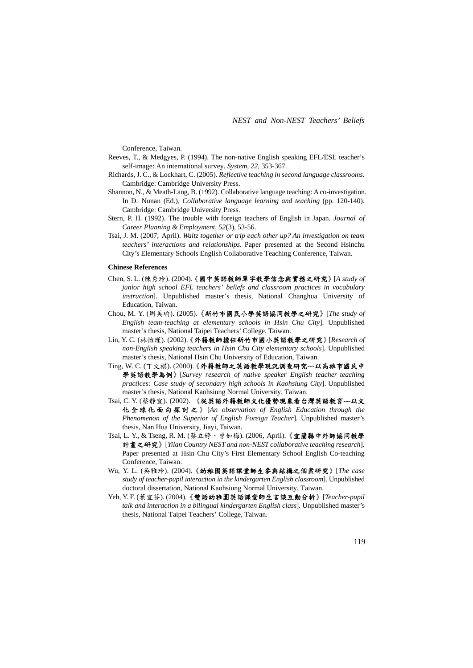Conference, Taiwan.

- Reeves, T., & Medgyes, P. (1994). The non-native English speaking EFL/ESL teacher's self-image: An international survey. *System*, *22*, 353-367.
- Richards, J. C., & Lockhart, C. (2005). *Reflective teaching in second language classrooms*. Cambridge: Cambridge University Press.
- Shannon, N., & Meath-Lang, B. (1992). Collaborative language teaching: A co-investigation. In D. Nunan (Ed.), *Collaborative language learning and teaching* (pp. 120-140). Cambridge: Cambridge University Press.
- Stern, P. H. (1992). The trouble with foreign teachers of English in Japan. *Journal of Career Planning & Employment*, *52*(3), 53-56.
- Tsai, J. M. (2007, April). *Waltz together or trip each other up? An investigation on team teachers' interactions and relationships*. Paper presented at the Second Hsinchu City's Elementary Schools English Collaborative Teaching Conference, Taiwan.

#### **Chinese References**

- Chen, S. L. (陳秀玲). (2004).《國中英語教師單字教學信念與實務之研究》[*A study of junior high school EFL teachers' beliefs and classroom practices in vocabulary instruction*]. Unpublished master's thesis, National Changhua University of Education, Taiwan.
- Chou, M. Y. (周美瑜). (2005).《新竹市國民小學英語協同教學之研究》[*The study of English team-teaching at elementary schools in Hsin Chu City*]. Unpublished master's thesis, National Taipei Teachers' College, Taiwan.
- Lin, Y. C. (林怡瑾). (2002).《外籍教師擔任新竹市國小英語教學之研究》[*Research of non-English speaking teachers in Hsin Chu City elementary schools*]. Unpublished master's thesis, National Hsin Chu University of Education, Taiwan.
- Ting, W. C. (丁文棋). (2000).《外籍教師之英語教學現況調查研究---以高雄市國民中 學英語教學為例》[*Survey research of native speaker English teacher teaching practices: Case study of secondary high schools in Kaohsiung City*]. Unpublished master's thesis, National Kaohsiung Normal University, Taiwan.
- Tsai, C. Y. (蔡靜宜). (2002). 《從英語外籍教師文化優勢現象看台灣英語教育---以文 化全球化面向探討之 》 [*An observation of English Education through the Phenomenon of the Superior of English Foreign Teacher*]. Unpublished master's thesis, Nan Hua University, Jiayi, Taiwan.
- Tsai, L. Y., & Tseng, R. M. (蔡立婷、曾如梅). (2006, April).《宜蘭縣中外師協同教學 計畫之研究》[*Yilan Country NEST and non-NEST collaborative teaching research*]. Paper presented at Hsin Chu City's First Elementary School English Co-teaching Conference, Taiwan.
- Wu, Y. L. (吳雅玲). (2004).《幼稚園英語課堂師生參與結構之個案研究》[*The case study of teacher-pupil interaction in the kindergarten English classroom*]. Unpublished doctoral dissertation, National Kaohsiung Normal University, Taiwan.
- Yeh, Y. F. (葉宜芬). (2004).《雙語幼稚園英語課堂師生言談互動分析》[*Teacher-pupil talk and interaction in a bilingual kindergarten English class*]*.* Unpublished master's thesis, National Taipei Teachers' College, Taiwan.